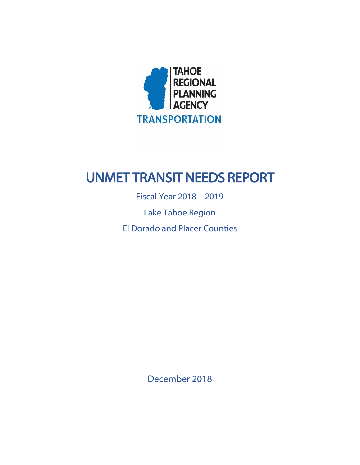

# UNMET TRANSIT NEEDS REPORT

Fiscal Year 2018 – 2019 Lake Tahoe Region El Dorado and Placer Counties

December 2018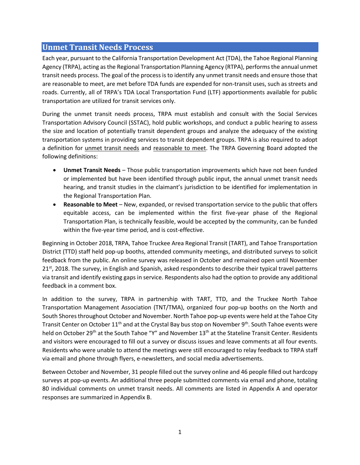## **Unmet Transit Needs Process**

Each year, pursuant to the California Transportation Development Act (TDA), the Tahoe Regional Planning Agency (TRPA), acting as the Regional Transportation Planning Agency (RTPA), performs the annual unmet transit needs process. The goal of the process is to identify any unmet transit needs and ensure those that are reasonable to meet, are met before TDA funds are expended for non-transit uses, such as streets and roads. Currently, all of TRPA's TDA Local Transportation Fund (LTF) apportionments available for public transportation are utilized for transit services only.

During the unmet transit needs process, TRPA must establish and consult with the Social Services Transportation Advisory Council (SSTAC), hold public workshops, and conduct a public hearing to assess the size and location of potentially transit dependent groups and analyze the adequacy of the existing transportation systems in providing services to transit dependent groups. TRPA is also required to adopt a definition for unmet transit needs and reasonable to meet. The TRPA Governing Board adopted the following definitions:

- **Unmet Transit Needs** Those public transportation improvements which have not been funded or implemented but have been identified through public input, the annual unmet transit needs hearing, and transit studies in the claimant's jurisdiction to be identified for implementation in the Regional Transportation Plan.
- **Reasonable to Meet** New, expanded, or revised transportation service to the public that offers equitable access, can be implemented within the first five-year phase of the Regional Transportation Plan, is technically feasible, would be accepted by the community, can be funded within the five-year time period, and is cost-effective.

Beginning in October 2018, TRPA, Tahoe Truckee Area Regional Transit (TART), and Tahoe Transportation District (TTD) staff held pop-up booths, attended community meetings, and distributed surveys to solicit feedback from the public. An online survey was released in October and remained open until November 21st, 2018. The survey, in English and Spanish, asked respondents to describe their typical travel patterns via transit and identify existing gaps in service. Respondents also had the option to provide any additional feedback in a comment box.

In addition to the survey, TRPA in partnership with TART, TTD, and the Truckee North Tahoe Transportation Management Association (TNT/TMA), organized four pop-up booths on the North and South Shores throughout October and November. North Tahoe pop-up events were held at the Tahoe City Transit Center on October  $11<sup>th</sup>$  and at the Crystal Bay bus stop on November 9<sup>th</sup>. South Tahoe events were held on October 29<sup>th</sup> at the South Tahoe "Y" and November 13<sup>th</sup> at the Stateline Transit Center. Residents and visitors were encouraged to fill out a survey or discuss issues and leave comments at all four events. Residents who were unable to attend the meetings were still encouraged to relay feedback to TRPA staff via email and phone through flyers, e-newsletters, and social media advertisements.

Between October and November, 31 people filled out the survey online and 46 people filled out hardcopy surveys at pop-up events. An additional three people submitted comments via email and phone, totaling 80 individual comments on unmet transit needs. All comments are listed in Appendix A and operator responses are summarized in Appendix B.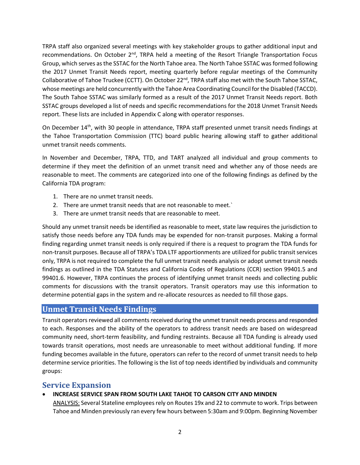TRPA staff also organized several meetings with key stakeholder groups to gather additional input and recommendations. On October 2<sup>nd</sup>, TRPA held a meeting of the Resort Triangle Transportation Focus Group, which serves as the SSTAC for the North Tahoe area. The North Tahoe SSTAC was formed following the 2017 Unmet Transit Needs report, meeting quarterly before regular meetings of the Community Collaborative of Tahoe Truckee (CCTT). On October 22<sup>nd</sup>, TRPA staff also met with the South Tahoe SSTAC, whose meetings are held concurrently with the Tahoe Area Coordinating Council for the Disabled (TACCD). The South Tahoe SSTAC was similarly formed as a result of the 2017 Unmet Transit Needs report. Both SSTAC groups developed a list of needs and specific recommendations for the 2018 Unmet Transit Needs report. These lists are included in Appendix C along with operator responses.

On December 14<sup>th</sup>, with 30 people in attendance, TRPA staff presented unmet transit needs findings at the Tahoe Transportation Commission (TTC) board public hearing allowing staff to gather additional unmet transit needs comments.

In November and December, TRPA, TTD, and TART analyzed all individual and group comments to determine if they meet the definition of an unmet transit need and whether any of those needs are reasonable to meet. The comments are categorized into one of the following findings as defined by the California TDA program:

- 1. There are no unmet transit needs.
- 2. There are unmet transit needs that are not reasonable to meet.`
- 3. There are unmet transit needs that are reasonable to meet.

Should any unmet transit needs be identified as reasonable to meet, state law requires the jurisdiction to satisfy those needs before any TDA funds may be expended for non-transit purposes. Making a formal finding regarding unmet transit needs is only required if there is a request to program the TDA funds for non-transit purposes. Because all of TRPA's TDA LTF apportionments are utilized for public transit services only, TRPA is not required to complete the full unmet transit needs analysis or adopt unmet transit needs findings as outlined in the TDA Statutes and California Codes of Regulations (CCR) section 99401.5 and 99401.6. However, TRPA continues the process of identifying unmet transit needs and collecting public comments for discussions with the transit operators. Transit operators may use this information to determine potential gaps in the system and re-allocate resources as needed to fill those gaps.

### **Unmet Transit Needs Findings**

Transit operators reviewed all comments received during the unmet transit needs process and responded to each. Responses and the ability of the operators to address transit needs are based on widespread community need, short-term feasibility, and funding restraints. Because all TDA funding is already used towards transit operations, most needs are unreasonable to meet without additional funding. If more funding becomes available in the future, operators can refer to the record of unmet transit needs to help determine service priorities. The following is the list of top needs identified by individuals and community groups:

## **Service Expansion**

### • **INCREASE SERVICE SPAN FROM SOUTH LAKE TAHOE TO CARSON CITY AND MINDEN**

ANALYSIS: Several Stateline employees rely on Routes 19x and 22 to commute to work. Trips between Tahoe and Minden previously ran every few hours between 5:30am and 9:00pm. Beginning November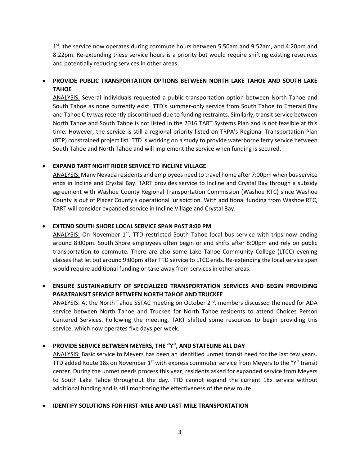1<sup>st</sup>, the service now operates during commute hours between 5:50am and 9:52am, and 4:20pm and 8:22pm. Re-extending these service hours is a priority but would require shifting existing resources and potentially reducing services in other areas.

## • **PROVIDE PUBLIC TRANSPORTATION OPTIONS BETWEEN NORTH LAKE TAHOE AND SOUTH LAKE TAHOE**

ANALYSIS: Several individuals requested a public transportation option between North Tahoe and South Tahoe as none currently exist. TTD's summer-only service from South Tahoe to Emerald Bay and Tahoe City was recently discontinued due to funding restraints. Similarly, transit service between North Tahoe and South Tahoe is not listed in the 2016 TART Systems Plan and is not feasible at this time. However, the service is still a regional priority listed on TRPA's Regional Transportation Plan (RTP) constrained project list. TTD is working on a study to provide waterborne ferry service between South Tahoe and North Tahoe and will implement the service when funding is secured.

### • **EXPAND TART NIGHT RIDER SERVICE TO INCLINE VILLAGE**

ANALYSIS: Many Nevada residents and employees need to travel home after 7:00pm when bus service ends in Incline and Crystal Bay. TART provides service to Incline and Crystal Bay through a subsidy agreement with Washoe County Regional Transportation Commission (Washoe RTC) since Washoe County is out of Placer County's operational jurisdiction. With additional funding from Washoe RTC, TART will consider expanded service in Incline Village and Crystal Bay.

#### • **EXTEND SOUTH SHORE LOCAL SERVICE SPAN PAST 8:00 PM**

ANALYSIS: On November  $1<sup>st</sup>$ , TTD restricted South Tahoe local bus service with trips now ending around 8:00pm. South Shore employees often begin or end shifts after 8:00pm and rely on public transportation to commute. There are also some Lake Tahoe Community College (LTCC) evening classes that let out around 9:00pm after TTD service to LTCC ends. Re-extending the local service span would require additional funding or take away from services in other areas.

## • **ENSURE SUSTAINABILITY OF SPECIALIZED TRANSPORTATION SERVICES AND BEGIN PROVIDING PARATRANSIT SERVICE BETWEEN NORTH TAHOE AND TRUCKEE**

ANALYSIS: At the North Tahoe SSTAC meeting on October  $2^{nd}$ , members discussed the need for ADA service between North Tahoe and Truckee for North Tahoe residents to attend Choices Person Centered Services. Following the meeting, TART shifted some resources to begin providing this service, which now operates five days per week.

#### • **PROVIDE SERVICE BETWEEN MEYERS, THE "Y", AND STATELINE ALL DAY**

ANALYSIS: Basic service to Meyers has been an identified unmet transit need for the last few years. TTD added Route 18x on November  $1<sup>st</sup>$  with express commuter service from Meyers to the "Y" transit center. During the unmet needs process this year, residents asked for expanded service from Meyers to South Lake Tahoe throughout the day. TTD cannot expand the current 18x service without additional funding and is still monitoring the effectiveness of the new route.

#### • **IDENTIFY SOLUTIONS FOR FIRST-MILE AND LAST-MILE TRANSPORTATION**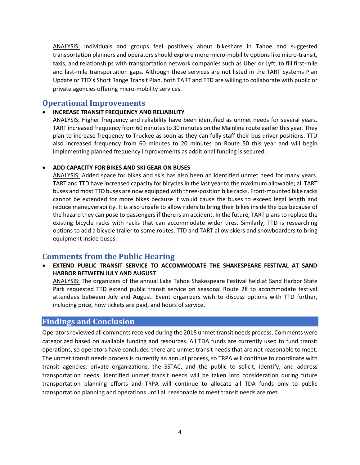ANALYSIS: Individuals and groups feel positively about bikeshare in Tahoe and suggested transportation planners and operators should explore more micro-mobility options like micro-transit, taxis, and relationships with transportation network companies such as Uber or Lyft, to fill first-mile and last-mile transportation gaps. Although these services are not listed in the TART Systems Plan Update or TTD's Short Range Transit Plan, both TART and TTD are willing to collaborate with public or private agencies offering micro-mobility services.

# **Operational Improvements**

#### • **INCREASE TRANSIT FREQUENCY AND RELIABILITY**

ANALYSIS: Higher frequency and reliability have been identified as unmet needs for several years. TART increased frequency from 60 minutes to 30 minutes on the Mainline route earlier this year. They plan to increase frequency to Truckee as soon as they can fully staff their bus driver positions. TTD also increased frequency from 60 minutes to 20 minutes on Route 50 this year and will begin implementing planned frequency improvements as additional funding is secured.

#### • **ADD CAPACITY FOR BIKES AND SKI GEAR ON BUSES**

ANALYSIS: Added space for bikes and skis has also been an identified unmet need for many years. TART and TTD have increased capacity for bicycles in the last year to the maximum allowable; all TART buses and most TTD buses are now equipped with three-position bike racks. Front-mounted bike racks cannot be extended for more bikes because it would cause the buses to exceed legal length and reduce maneuverability. It is also unsafe to allow riders to bring their bikes inside the bus because of the hazard they can pose to passengers if there is an accident. In the future, TART plans to replace the existing bicycle racks with racks that can accommodate wider tires. Similarly, TTD is researching options to add a bicycle trailer to some routes. TTD and TART allow skiers and snowboarders to bring equipment inside buses.

# **Comments from the Public Hearing**

• **EXTEND PUBLIC TRANSIT SERVICE TO ACCOMMODATE THE SHAKESPEARE FESTIVAL AT SAND HARBOR BETWEEN JULY AND AUGUST**

ANALYSIS: The organizers of the annual Lake Tahoe Shakespeare Festival held at Sand Harbor State Park requested TTD extend public transit service on seasonal Route 28 to accommodate festival attendees between July and August. Event organizers wish to discuss options with TTD further, including price, how tickets are paid, and hours of service.

## **Findings and Conclusion**

Operators reviewed all comments received during the 2018 unmet transit needs process. Comments were categorized based on available funding and resources. All TDA funds are currently used to fund transit operations, so operators have concluded there are unmet transit needs that are not reasonable to meet. The unmet transit needs process is currently an annual process, so TRPA will continue to coordinate with transit agencies, private organizations, the SSTAC, and the public to solicit, identify, and address transportation needs. Identified unmet transit needs will be taken into consideration during future transportation planning efforts and TRPA will continue to allocate all TDA funds only to public transportation planning and operations until all reasonable to meet transit needs are met.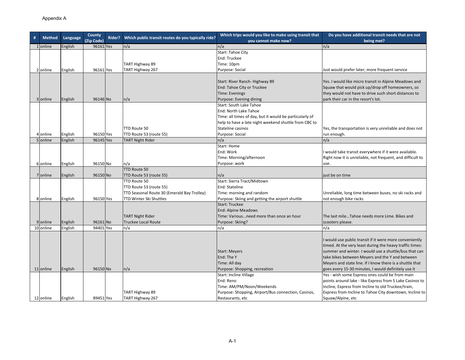| # | <b>Method</b> | Language | County     | Rider? | Which public transit routes do you typically ride? | Which trips would you like to make using transit that   | Do you have additional transit needs that are not          |
|---|---------------|----------|------------|--------|----------------------------------------------------|---------------------------------------------------------|------------------------------------------------------------|
|   |               |          | (Zip Code) |        |                                                    | you cannot make now?                                    | being met?                                                 |
|   | 1 online      | English  | 96161 Yes  |        | n/a                                                | n/a                                                     | n/a                                                        |
|   |               |          |            |        |                                                    | Start: Tahoe City                                       |                                                            |
|   |               |          |            |        |                                                    | End: Truckee                                            |                                                            |
|   |               |          |            |        | TART Highway 89                                    | Time: 10pm                                              |                                                            |
|   | 2 online      | English  | 96161 Yes  |        | TART Highway 267                                   | Purpose: Social                                         | Just would prefer later, more frequent service             |
|   |               |          |            |        |                                                    |                                                         |                                                            |
|   |               |          |            |        |                                                    | Start: River Ranch- Highway 89                          | Yes. I would like micro transit in Alpine Meadows and      |
|   |               |          |            |        |                                                    | End: Tahoe City or Truckee                              | Squaw that would pick up/drop off homeowners, so           |
|   |               |          |            |        |                                                    | Time: Evenings                                          | they would not have to drive such short distances to       |
|   | 3 online      | English  | 96146 No   |        | n/a                                                | Purpose: Evening dining                                 | park their car in the resort's lot.                        |
|   |               |          |            |        |                                                    | Start: South Lake Tahoe                                 |                                                            |
|   |               |          |            |        |                                                    | End: North Lake Tahoe                                   |                                                            |
|   |               |          |            |        |                                                    | Time: all times of day, but it would be particularly of |                                                            |
|   |               |          |            |        |                                                    | help to have a late night weekend shuttle from CBC to   |                                                            |
|   |               |          |            |        | TTD Route 50                                       | Stateline casinos                                       | Yes, the transportation is very unreliable and does not    |
|   | 4 online      | English  | 96150 Yes  |        | TTD Route 53 (route 55)                            | Purpose: Social                                         | run enough.                                                |
|   | 5 online      | English  | 96145 Yes  |        | <b>TART Night Rider</b>                            | n/a                                                     | n/a                                                        |
|   |               |          |            |        |                                                    | Start: Home                                             |                                                            |
|   |               |          |            |        |                                                    | End: Work                                               | I would take transit everywhere if it were available.      |
|   |               |          |            |        |                                                    | Time: Morning/afternoon                                 | Right now it is unreliable, not frequent, and difficult to |
|   | 6 online      | English  | 96150 No   |        | n/a                                                | Purpose: work                                           | use.                                                       |
|   |               |          |            |        | TTD Route 50                                       |                                                         |                                                            |
|   | 7 online      | English  | 96150 No   |        | TTD Route 53 (route 55)                            | n/a                                                     | just be on time                                            |
|   |               |          |            |        | TTD Route 50                                       | Start: Sierra Tract/Midtown                             |                                                            |
|   |               |          |            |        | TTD Route 53 (route 55)                            | End: Stateline                                          |                                                            |
|   |               |          |            |        | TTD Seasonal Route 30 (Emerald Bay Trolley)        | Time: morning and random                                | Unreliable, long time between buses, no ski racks and      |
|   | 8 online      | English  | 96150 Yes  |        | <b>TTD Winter Ski Shuttles</b>                     | Purpose: Skiing and getting the airport shuttle         | not enough bike racks                                      |
|   |               |          |            |        |                                                    | <b>Start: Truckee</b>                                   |                                                            |
|   |               |          |            |        |                                                    | <b>End: Alpine Meadows</b>                              |                                                            |
|   |               |          |            |        | <b>TART Night Rider</b>                            | Time: Variousneed more than once an hour                | The last mileTahoe needs more Lime. Bikes and              |
|   | 9 online      | English  | 96161 No   |        | <b>Truckee Local Route</b>                         | Purpose: Skiing?                                        | scooters please.                                           |
|   | 10 online     | English  | 94401 Yes  |        | n/a                                                | n/a                                                     | n/a                                                        |
|   |               |          |            |        |                                                    |                                                         |                                                            |
|   |               |          |            |        |                                                    |                                                         | I would use public transit if it were more conveniently    |
|   |               |          |            |        |                                                    |                                                         | timed. At the very least during the heavy traffic times:   |
|   |               |          |            |        |                                                    | <b>Start: Meyers</b>                                    | summer and winter. I would use a shuttle/bus that can      |
|   |               |          |            |        |                                                    | End: The Y                                              | take bikes between Meyers and the Y and between            |
|   |               |          |            |        |                                                    | Time: All day                                           | Meyers and state line. If I know there is a shuttle that   |
|   | 11 online     | English  | 96150 No   |        | n/a                                                | Purpose: Shopping, recreation                           | goes every 15-30 minutes, I would definitely use it        |
|   |               |          |            |        |                                                    | Start: Incline Village                                  | Yes - wish some Express ones could be from main            |
|   |               |          |            |        |                                                    | End: Reno                                               | points around lake - like Express from S Lake Casinos to   |
|   |               |          |            |        |                                                    | Time: AM/PM/Noon/Weekends                               | Incline, Express from Incline to old Truckee/train,        |
|   |               |          |            |        | TART Highway 89                                    | Purpose: Shopping, Airport/Bus connection, Casinos,     | Express from Incline to Tahoe City downtown, Incline to    |
|   | 12 online     | English  | 89451 Yes  |        | TART Highway 267                                   | Restaurants, etc                                        | Squaw/Alpine, etc                                          |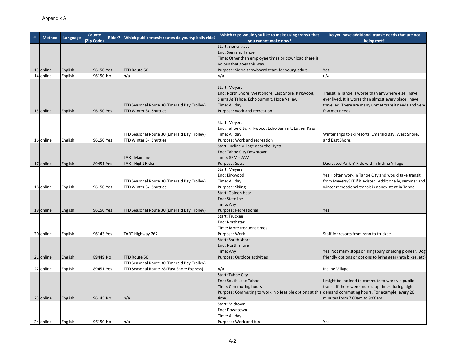| <b>Method</b> |          | County     | Rider? | Which public transit routes do you typically ride? | Which trips would you like to make using transit that                                                 | Do you have additional transit needs that are not          |  |
|---------------|----------|------------|--------|----------------------------------------------------|-------------------------------------------------------------------------------------------------------|------------------------------------------------------------|--|
|               | Language | (Zip Code) |        |                                                    | vou cannot make now?                                                                                  | being met?                                                 |  |
|               |          |            |        |                                                    | Start: Sierra tract                                                                                   |                                                            |  |
|               |          |            |        |                                                    | End: Sierra at Tahoe                                                                                  |                                                            |  |
|               |          |            |        |                                                    | Time: Other than employee times or download there is                                                  |                                                            |  |
|               |          |            |        |                                                    | no bus that goes this way.                                                                            |                                                            |  |
| 13 online     | English  | 96150 Yes  |        | <b>TTD Route 50</b>                                | Purpose: Sierra snowboard team for young adult                                                        | Yes                                                        |  |
| 14 online     | English  | 96150 No   |        | n/a                                                | n/a                                                                                                   | n/a                                                        |  |
|               |          |            |        |                                                    |                                                                                                       |                                                            |  |
|               |          |            |        |                                                    | <b>Start: Meyers</b>                                                                                  |                                                            |  |
|               |          |            |        |                                                    | End: North Shore, West Shore, East Shore, Kirkwood,                                                   | Transit in Tahoe is worse than anywhere else I have        |  |
|               |          |            |        |                                                    | Sierra At Tahoe, Echo Summit, Hope Valley,                                                            | ever lived. It is worse than almost every place I have     |  |
|               |          |            |        | TTD Seasonal Route 30 (Emerald Bay Trolley)        | Time: All day                                                                                         | travelled. There are many unmet transit needs and very     |  |
| 15 online     | English  | 96150 Yes  |        | TTD Winter Ski Shuttles                            | Purpose: work and recreation                                                                          | few met needs.                                             |  |
|               |          |            |        |                                                    |                                                                                                       |                                                            |  |
|               |          |            |        |                                                    | <b>Start: Meyers</b>                                                                                  |                                                            |  |
|               |          |            |        |                                                    | End: Tahoe City, Kirkwood, Echo Summit, Luther Pass                                                   |                                                            |  |
|               |          |            |        | TTD Seasonal Route 30 (Emerald Bay Trolley)        | Time: All day                                                                                         | Winter trips to ski resorts, Emerald Bay, West Shore,      |  |
| 16 online     | English  | 96150 Yes  |        | TTD Winter Ski Shuttles                            | Purpose: Work and recreation                                                                          | and East Shore.                                            |  |
|               |          |            |        |                                                    | Start: Incline Village near the Hyatt                                                                 |                                                            |  |
|               |          |            |        |                                                    | End: Tahoe City Downtown                                                                              |                                                            |  |
|               |          |            |        | <b>TART Mainline</b>                               | Time: 8PM - 2AM                                                                                       |                                                            |  |
| 17 online     | English  | 89451 Yes  |        | <b>TART Night Rider</b>                            | Purpose: Social                                                                                       | Dedicated Park n' Ride within Incline Village              |  |
|               |          |            |        |                                                    | Start: Meyers                                                                                         |                                                            |  |
|               |          |            |        |                                                    | End: Kirkwood                                                                                         | Yes, I often work in Tahoe City and would take transit     |  |
|               |          |            |        | TTD Seasonal Route 30 (Emerald Bay Trolley)        | Time: All day                                                                                         | from Meyers/SLT if it existed. Additionally, summer and    |  |
| 18 online     | English  | 96150 Yes  |        | TTD Winter Ski Shuttles                            | Purpose: Skiing                                                                                       | winter recreational transit is nonexistent in Tahoe.       |  |
|               |          |            |        |                                                    | Start: Golden bear                                                                                    |                                                            |  |
|               |          |            |        |                                                    | End: Stateline                                                                                        |                                                            |  |
|               |          |            |        |                                                    | Time: Any                                                                                             |                                                            |  |
| 19 online     | English  | 96150 Yes  |        | TTD Seasonal Route 30 (Emerald Bay Trolley)        | Purpose: Recreational                                                                                 | Yes                                                        |  |
|               |          |            |        |                                                    | <b>Start: Truckee</b>                                                                                 |                                                            |  |
|               |          |            |        |                                                    | End: Northstar                                                                                        |                                                            |  |
|               |          |            |        |                                                    | Time: More frequent times                                                                             |                                                            |  |
| 20 online     | English  | 96143 Yes  |        | TART Highway 267                                   | Purpose: Work                                                                                         | Staff for resorts from reno to truckee                     |  |
|               |          |            |        |                                                    | Start: South shore                                                                                    |                                                            |  |
|               |          |            |        |                                                    | End: North shore                                                                                      |                                                            |  |
|               |          |            |        |                                                    | Time: Any                                                                                             | Yes. Not many stops on Kingsbury or along pioneer. Dog     |  |
| 21 online     | English  | 89449 No   |        | TTD Route 50                                       | Purpose: Outdoor activities                                                                           | friendly options or options to bring gear (mtn bikes, etc) |  |
|               |          |            |        | TTD Seasonal Route 30 (Emerald Bay Trolley)        |                                                                                                       |                                                            |  |
| 22 online     | English  | 89451 Yes  |        | TTD Seasonal Route 28 (East Shore Express)         | n/a                                                                                                   | Incline Village                                            |  |
|               |          |            |        |                                                    | <b>Start: Tahoe City</b>                                                                              |                                                            |  |
|               |          |            |        |                                                    | End: South Lake Tahoe                                                                                 | I might be inclined to commute to work via public          |  |
|               |          |            |        |                                                    | Time: Commuting hours                                                                                 | transit if there were more stop times during high          |  |
|               |          |            |        |                                                    | Purpose: Commuting to work. No feasible options at this demand commuting hours. For example, every 20 |                                                            |  |
| 23 online     | English  | 96145 No   |        | n/a                                                | time.                                                                                                 | minutes from 7:00am to 9:00am.                             |  |
|               |          |            |        |                                                    | Start: Midtown                                                                                        |                                                            |  |
|               |          |            |        |                                                    | End: Downtown                                                                                         |                                                            |  |
|               |          |            |        |                                                    | Time: All day                                                                                         |                                                            |  |
| 24 online     | English  | 96150 No   |        | n/a                                                | Purpose: Work and fun                                                                                 | Yes                                                        |  |
|               |          |            |        |                                                    |                                                                                                       |                                                            |  |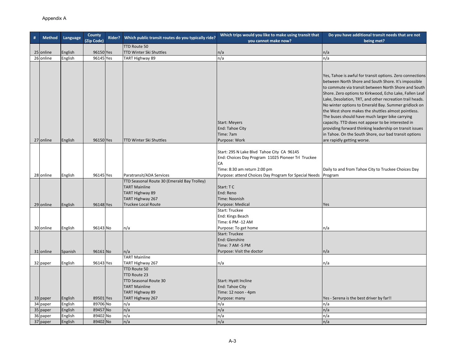| # | <b>Method</b>        |                    | County               | Rider? | Which public transit routes do you typically ride?                                                         | Which trips would you like to make using transit that                                                                                  | Do you have additional transit needs that are not                                                                                                                                                                                                                                                                                                                                                               |
|---|----------------------|--------------------|----------------------|--------|------------------------------------------------------------------------------------------------------------|----------------------------------------------------------------------------------------------------------------------------------------|-----------------------------------------------------------------------------------------------------------------------------------------------------------------------------------------------------------------------------------------------------------------------------------------------------------------------------------------------------------------------------------------------------------------|
|   |                      | Language           | (Zip Code)           |        |                                                                                                            | you cannot make now?                                                                                                                   | being met?                                                                                                                                                                                                                                                                                                                                                                                                      |
|   |                      |                    |                      |        | TTD Route 50                                                                                               |                                                                                                                                        |                                                                                                                                                                                                                                                                                                                                                                                                                 |
|   | 25 online            | English            | 96150 Yes            |        | TTD Winter Ski Shuttles                                                                                    | n/a                                                                                                                                    | n/a                                                                                                                                                                                                                                                                                                                                                                                                             |
|   | 26 online            | English            | 96145 Yes            |        | TART Highway 89                                                                                            | n/a                                                                                                                                    | n/a                                                                                                                                                                                                                                                                                                                                                                                                             |
|   |                      |                    |                      |        |                                                                                                            |                                                                                                                                        | Yes, Tahoe is awful for transit options. Zero connections<br>between North Shore and South Shore. It's impossible<br>to commute via transit between North Shore and South<br>Shore. Zero options to Kirkwood, Echo Lake, Fallen Leaf<br>Lake, Desolation, TRT, and other recreation trail heads.<br>No winter options to Emerald Bay. Summer gridlock on<br>the West shore makes the shuttles almost pointless. |
|   | 27 online            | English            | 96150 Yes            |        | TTD Winter Ski Shuttles                                                                                    | <b>Start: Meyers</b><br>End: Tahoe City<br>Time: 7am<br>Purpose: Work                                                                  | The buses should have much larger bike carrying<br>capacity. TTD does not appear to be interested in<br>providing forward thinking leadership on transit issues<br>in Tahoe. On the South Shore, our bad transit options<br>are rapidly getting worse.                                                                                                                                                          |
|   |                      |                    |                      |        |                                                                                                            | Start: 295 N Lake Blvd Tahoe City CA 96145<br>End: Choices Day Program 11025 Pioneer Trl Truckee<br>CA<br>Time: 8:30 am return 2:00 pm | Daily to and from Tahoe City to Truckee Choices Day                                                                                                                                                                                                                                                                                                                                                             |
|   | 28 online            | English            | 96145 Yes            |        | Paratransit/ADA Services                                                                                   | Purpose: attend Choices Day Program for Special Needs Program                                                                          |                                                                                                                                                                                                                                                                                                                                                                                                                 |
|   |                      |                    |                      |        | TTD Seasonal Route 30 (Emerald Bay Trolley)<br><b>TART Mainline</b><br>TART Highway 89<br>TART Highway 267 | Start: TC<br>End: Reno<br>Time: Noonish                                                                                                |                                                                                                                                                                                                                                                                                                                                                                                                                 |
|   | 29 online            | English            | 96148 Yes            |        | <b>Truckee Local Route</b>                                                                                 | Purpose: Medical                                                                                                                       | Yes                                                                                                                                                                                                                                                                                                                                                                                                             |
|   | 30 online            | English            | 96143 No             |        | n/a                                                                                                        | Start: Truckee<br>End: Kings Beach<br>Time: 6 PM -12 AM<br>Purpose: To get home                                                        | n/a                                                                                                                                                                                                                                                                                                                                                                                                             |
|   | 31 online            | Spanish            | 96161 No             |        | n/a                                                                                                        | <b>Start: Truckee</b><br>End: Glenshire<br>Time: 7 AM -5 PM<br>Purpose: Visit the doctor                                               | n/a                                                                                                                                                                                                                                                                                                                                                                                                             |
|   |                      |                    |                      |        | <b>TART Mainline</b>                                                                                       |                                                                                                                                        |                                                                                                                                                                                                                                                                                                                                                                                                                 |
|   | 32 paper             | English            | 96143 Yes            |        | TART Highway 267                                                                                           | n/a                                                                                                                                    | n/a                                                                                                                                                                                                                                                                                                                                                                                                             |
|   |                      |                    |                      |        | TTD Route 50<br>TTD Route 23<br>TTD Seasonal Route 30<br><b>TART Mainline</b><br>TART Highway 89           | Start: Hyatt Incline<br>End: Tahoe City<br>Time: 12 noon - 4pm                                                                         |                                                                                                                                                                                                                                                                                                                                                                                                                 |
|   | 33 paper             | English            | 89501 Yes            |        | TART Highway 267                                                                                           | Purpose: many                                                                                                                          | Yes - Serena is the best driver by far!!                                                                                                                                                                                                                                                                                                                                                                        |
|   | 34 paper             | English            | 89706 No             |        | n/a                                                                                                        | n/a                                                                                                                                    | n/a                                                                                                                                                                                                                                                                                                                                                                                                             |
|   | 35 paper             | English            | 89457 No             |        | n/a                                                                                                        | n/a                                                                                                                                    | n/a                                                                                                                                                                                                                                                                                                                                                                                                             |
|   | 36 paper<br>37 paper | English<br>English | 89402 No<br>89402 No |        | n/a<br>n/a                                                                                                 | n/a<br>n/a                                                                                                                             | n/a<br>n/a                                                                                                                                                                                                                                                                                                                                                                                                      |
|   |                      |                    |                      |        |                                                                                                            |                                                                                                                                        |                                                                                                                                                                                                                                                                                                                                                                                                                 |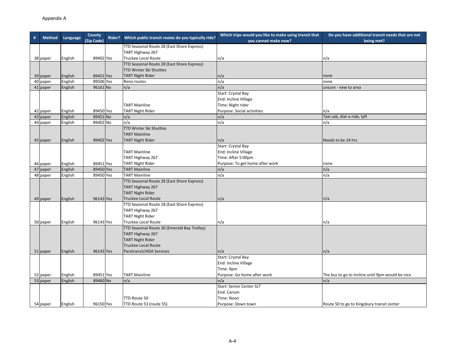| # | <b>Method</b> | Language | <b>County</b> | Rider? | Which public transit routes do you typically ride? | Which trips would you like to make using transit that | Do you have additional transit needs that are not |
|---|---------------|----------|---------------|--------|----------------------------------------------------|-------------------------------------------------------|---------------------------------------------------|
|   |               |          | (Zip Code)    |        |                                                    | you cannot make now?                                  | being met?                                        |
|   |               |          |               |        | TTD Seasonal Route 28 (East Shore Express)         |                                                       |                                                   |
|   |               |          |               |        | TART Highway 267                                   |                                                       |                                                   |
|   | 38 paper      | English  | 89402 Yes     |        | Truckee Local Route                                | n/a                                                   | n/a                                               |
|   |               |          |               |        | TTD Seasonal Route 28 (East Shore Express)         |                                                       |                                                   |
|   |               |          |               |        | <b>TTD Winter Ski Shuttles</b>                     |                                                       |                                                   |
|   | 39 paper      | English  | 89451 Yes     |        | <b>TART Night Rider</b>                            | n/a                                                   | none                                              |
|   | 40 paper      | English  | 89506 Yes     |        | Reno routes                                        | n/a                                                   | none                                              |
|   | 41 paper      | English  | 96161 No      |        | n/a                                                | n/a<br>Start: Crystal Bay                             | unsure - new to area                              |
|   |               |          |               |        |                                                    | End: Incline Village                                  |                                                   |
|   |               |          |               |        | <b>TART Mainline</b>                               | Time: Night rider                                     |                                                   |
|   | 42 paper      | English  | 89450 Yes     |        | <b>TART Night Rider</b>                            | <b>Purpose: Social activities</b>                     | n/a                                               |
|   | 43 paper      | English  | 89451 No      |        | n/a                                                | n/a                                                   | Taxi cab, dial-a-ride, lyft                       |
|   | 44 paper      | English  | 89402 No      |        | n/a                                                | n/a                                                   | n/a                                               |
|   |               |          |               |        | TTD Winter Ski Shuttles                            |                                                       |                                                   |
|   |               |          |               |        | <b>TART Mainline</b>                               |                                                       |                                                   |
|   | 45 paper      | English  | 89402 Yes     |        | <b>TART Night Rider</b>                            | n/a                                                   | Needs to be 24 hrs                                |
|   |               |          |               |        |                                                    | Start: Crystal Bay                                    |                                                   |
|   |               |          |               |        | <b>TART Mainline</b>                               | End: Incline Village                                  |                                                   |
|   |               |          |               |        | TART Highway 267                                   | Time: After 5:00pm                                    |                                                   |
|   | 46 paper      | English  | 89451 Yes     |        | <b>TART Night Rider</b>                            | Purpose: To get home after work                       | none                                              |
|   | 47 paper      | English  | 89450 Yes     |        | <b>TART Mainline</b>                               | n/a                                                   | n/a                                               |
|   | 48 paper      | English  | 89450 Yes     |        | <b>TART Mainline</b>                               | n/a                                                   | n/a                                               |
|   |               |          |               |        | TTD Seasonal Route 28 (East Shore Express)         |                                                       |                                                   |
|   |               |          |               |        | TART Highway 267                                   |                                                       |                                                   |
|   |               |          |               |        | <b>TART Night Rider</b>                            |                                                       |                                                   |
|   | 49 paper      | English  | 96143 Yes     |        | <b>Truckee Local Route</b>                         | n/a                                                   | n/a                                               |
|   |               |          |               |        | TTD Seasonal Route 28 (East Shore Express)         |                                                       |                                                   |
|   |               |          |               |        | TART Highway 267                                   |                                                       |                                                   |
|   |               |          |               |        | <b>TART Night Rider</b>                            |                                                       |                                                   |
|   | 50 paper      | English  | 96143 Yes     |        | Truckee Local Route                                | n/a                                                   | n/a                                               |
|   |               |          |               |        | TTD Seasonal Route 30 (Emerald Bay Trolley)        |                                                       |                                                   |
|   |               |          |               |        | TART Highway 267                                   |                                                       |                                                   |
|   |               |          |               |        | <b>TART Night Rider</b>                            |                                                       |                                                   |
|   |               |          |               |        | <b>Truckee Local Route</b>                         |                                                       |                                                   |
|   | 51 paper      | English  | 96143 Yes     |        | Paratransit/ADA Services                           | n/a                                                   | n/a                                               |
|   |               |          |               |        |                                                    | Start: Crystal Bay                                    |                                                   |
|   |               |          |               |        |                                                    | End: Incline Village                                  |                                                   |
|   |               |          |               |        |                                                    | Time: 9pm                                             |                                                   |
|   | 52 paper      | English  | 89451 Yes     |        | <b>TART Mainline</b>                               | Purpose: Go home after work                           | The bus to go to Incline until 9pm would be nice  |
|   | 53 paper      | English  | 89460 No      |        | n/a                                                | n/a                                                   | n/a                                               |
|   |               |          |               |        |                                                    | <b>Start: Senior Center SLT</b>                       |                                                   |
|   |               |          |               |        |                                                    | End: Carson                                           |                                                   |
|   |               |          |               |        | TTD Route 50                                       | Time: Noon                                            |                                                   |
|   | 54 paper      | English  | 96150 Yes     |        | TTD Route 53 (route 55)                            | Purpose: Down town                                    | Route 50 to go to Kingsbury transit center        |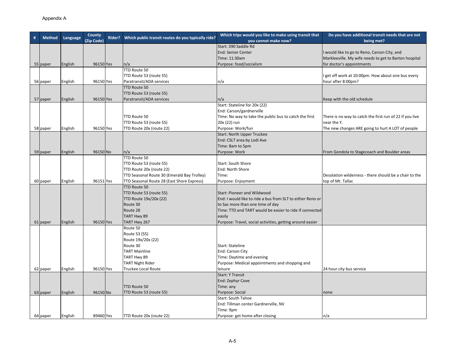| # | <b>Method</b> | Language | County     | Rider? | Which public transit routes do you typically ride? | Which trips would you like to make using transit that      | Do you have additional transit needs that are not        |
|---|---------------|----------|------------|--------|----------------------------------------------------|------------------------------------------------------------|----------------------------------------------------------|
|   |               |          | (Zip Code) |        |                                                    | you cannot make now?                                       | being met?                                               |
|   |               |          |            |        |                                                    | Start: 390 Saddle Rd                                       |                                                          |
|   |               |          |            |        |                                                    | <b>End: Senior Center</b>                                  | I would like to go to Reno, Carson City, and             |
|   |               |          |            |        |                                                    | Time: 11:30am                                              | Markleeville. My wife needs to get to Barton hospital    |
|   | 55 paper      | English  | 96150 Yes  |        | n/a                                                | Purpose: food/socialism                                    | for doctor's appointments                                |
|   |               |          |            |        | TTD Route 50                                       |                                                            |                                                          |
|   |               |          |            |        | TTD Route 53 (route 55)                            |                                                            | get off work at 10:00pm. How about one bus every         |
|   | 56 paper      | English  | 96150 Yes  |        | Paratransit/ADA services                           | n/a                                                        | hour after 8:00pm?                                       |
|   |               |          |            |        | TTD Route 50                                       |                                                            |                                                          |
|   |               |          |            |        | TTD Route 53 (route 55)                            |                                                            |                                                          |
|   | 57 paper      | English  | 96150 Yes  |        | Paratransit/ADA services                           | n/a                                                        | Keep with the old schedule                               |
|   |               |          |            |        |                                                    | Start: Stateline for 20x (22)                              |                                                          |
|   |               |          |            |        |                                                    | End: Carson/gardnerville                                   |                                                          |
|   |               |          |            |        | TTD Route 50                                       | Time: No way to take the public bus to catch the first     | There is no way to catch the first run of 22 if you live |
|   |               |          |            |        | TTD Route 53 (route 55)                            | 20x (22) run                                               | near the Y.                                              |
|   | 58 paper      | English  | 96150 Yes  |        | TTD Route 20x (route 22)                           | Purpose: Work/fun                                          | The new changes ARE going to hurt A LOT of people        |
|   |               |          |            |        |                                                    | <b>Start: North Upper Truckee</b>                          |                                                          |
|   |               |          |            |        |                                                    | End: CSLT area by Lodi Ave                                 |                                                          |
|   |               |          |            |        |                                                    | Time: 8am to 5pm                                           |                                                          |
|   | 59 paper      | English  | 96150 No   |        | n/a                                                | Purpose: Work                                              | From Gondola to Stagecoach and Boulder areas             |
|   |               |          |            |        | TTD Route 50                                       |                                                            |                                                          |
|   |               |          |            |        | TTD Route 53 (route 55)                            | Start: South Shore                                         |                                                          |
|   |               |          |            |        | TTD Route 20x (route 22)                           | End: North Shore                                           |                                                          |
|   |               |          |            |        | TTD Seasonal Route 30 (Emerald Bay Trolley)        | Time:                                                      | Desolation wilderness - there should be a chair to the   |
|   | 60 paper      | English  | 96151 Yes  |        | TTD Seasonal Route 28 (East Shore Express)         | Purpose: Enjoyment                                         | top of Mt. Tallac                                        |
|   |               |          |            |        | TTD Route 50                                       |                                                            |                                                          |
|   |               |          |            |        | TTD Route 53 (route 55)                            | Start: Pioneer and Wildwood                                |                                                          |
|   |               |          |            |        | TTD Route 19x/20x (22)                             | End: I would like to ride a bus from SLT to either Reno or |                                                          |
|   |               |          |            |        | Route 30                                           | to Sac more than one time of day                           |                                                          |
|   |               |          |            |        | Route 28                                           | Time: TTD and TART would be easier to ride if connected    |                                                          |
|   |               |          |            |        | TART Hwy 89                                        | easily                                                     |                                                          |
|   | 61 paper      | English  | 96150 Yes  |        | TART Hwy 267                                       | Purpose: Travel, social activities, getting around easier  |                                                          |
|   |               |          |            |        | Route 50                                           |                                                            |                                                          |
|   |               |          |            |        | Route 53 (55)                                      |                                                            |                                                          |
|   |               |          |            |        | Route 19x/20x (22)                                 |                                                            |                                                          |
|   |               |          |            |        | Route 30                                           | Start: Stateline                                           |                                                          |
|   |               |          |            |        | <b>TART Mainline</b>                               | End: Carson City                                           |                                                          |
|   |               |          |            |        | TART Hwy 89                                        | Time: Daytime and evening                                  |                                                          |
|   |               |          |            |        | <b>TART Night Rider</b>                            | Purpose: Medical appointments and shopping and             |                                                          |
|   | 62 paper      | English  | 96150 Yes  |        | <b>Truckee Local Route</b>                         | leisure                                                    | 24 hour city bus service                                 |
|   |               |          |            |        |                                                    | <b>Start: Y Transit</b>                                    |                                                          |
|   |               |          |            |        |                                                    | End: Zephyr Cove                                           |                                                          |
|   |               |          |            |        | TTD Route 50                                       | Time: any                                                  |                                                          |
|   | 63 paper      | English  | 96150 No   |        | TTD Route 53 (route 55)                            | Purpose: Social                                            | none                                                     |
|   |               |          |            |        |                                                    | Start: South Tahoe                                         |                                                          |
|   |               |          |            |        |                                                    | End: Tillman center Gardnerville, NV                       |                                                          |
|   |               |          |            |        |                                                    | Time: 9pm                                                  |                                                          |
|   | 64 paper      | English  | 89460 Yes  |        | TTD Route 20x (route 22)                           | Purpose: get home after closing                            | n/a                                                      |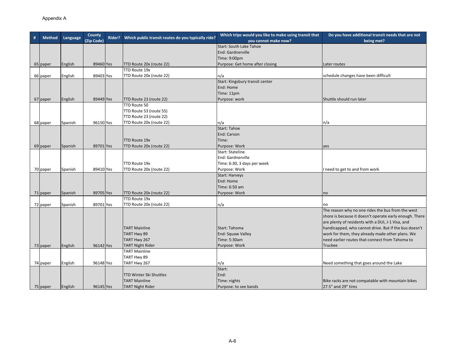|               |          | County     |        | Which public transit routes do you typically ride? | Which trips would you like to make using transit that | Do you have additional transit needs that are not       |
|---------------|----------|------------|--------|----------------------------------------------------|-------------------------------------------------------|---------------------------------------------------------|
| <b>Method</b> | Language | (Zip Code) | Rider? |                                                    | you cannot make now?                                  | being met?                                              |
|               |          |            |        |                                                    | Start: South Lake Tahoe                               |                                                         |
|               |          |            |        |                                                    | End: Gardnerville                                     |                                                         |
|               |          |            |        |                                                    | Time: 9:00pm                                          |                                                         |
| 65 paper      | English  | 89460 Yes  |        | TTD Route 20x (route 22)                           | Purpose: Get home after closing                       | Later routes                                            |
|               |          |            |        | TTD Route 19x                                      |                                                       |                                                         |
| 66 paper      | English  | 89403 Yes  |        | TTD Route 20x (route 22)                           | n/a                                                   | schedule changes have been difficult                    |
|               |          |            |        |                                                    | Start: Kingsbury transit center                       |                                                         |
|               |          |            |        |                                                    | End: Home                                             |                                                         |
|               |          |            |        |                                                    | Time: 11pm                                            |                                                         |
| 67 paper      | English  | 89449 Yes  |        | TTD Route 23 (route 22)                            | Purpose: work                                         | Shuttle should run later                                |
|               |          |            |        | TTD Route 50                                       |                                                       |                                                         |
|               |          |            |        | TTD Route 53 (route 55)                            |                                                       |                                                         |
|               |          |            |        | TTD Route 23 (route 22)                            |                                                       |                                                         |
| 68 paper      | Spanish  | 96150 Yes  |        | TTD Route 20x (route 22)                           | n/a                                                   | n/a                                                     |
|               |          |            |        |                                                    | Start: Tahoe                                          |                                                         |
|               |          |            |        |                                                    | End: Carson                                           |                                                         |
|               |          |            |        | TTD Route 19x                                      | Time:                                                 |                                                         |
| 69 paper      | Spanish  | 89701 Yes  |        | TTD Route 20x (route 22)                           | Purpose: Work                                         | yes                                                     |
|               |          |            |        |                                                    | Start: Stateline                                      |                                                         |
|               |          |            |        |                                                    | End: Gardnerville                                     |                                                         |
|               |          |            |        | TTD Route 19x                                      | Time: 6:30, 3 days per week                           |                                                         |
| 70 paper      | Spanish  | 89410 Yes  |        | TTD Route 20x (route 22)                           | Purpose: Work                                         | I need to get to and from work                          |
|               |          |            |        |                                                    | <b>Start: Harveys</b>                                 |                                                         |
|               |          |            |        |                                                    | End: Home                                             |                                                         |
|               |          |            |        |                                                    | Time: 6:50 am                                         |                                                         |
| 71 paper      | Spanish  | 89705 Yes  |        | TTD Route 20x (route 22)                           | Purpose: Work                                         | no                                                      |
|               |          |            |        | TTD Route 19x                                      |                                                       |                                                         |
| 72 paper      | Spanish  | 89701 Yes  |        | TTD Route 20x (route 22)                           | n/a                                                   | no                                                      |
|               |          |            |        |                                                    |                                                       | The reason why no one rides the bus from the west       |
|               |          |            |        |                                                    |                                                       | shore is because it doesn't operate early enough. There |
|               |          |            |        |                                                    |                                                       | are plenty of residents with a DUI, J-1 Visa, and       |
|               |          |            |        | <b>TART Mainline</b>                               | Start: Tahoma                                         | handicapped, who cannot drive. But if the bus doesn't   |
|               |          |            |        | TART Hwy 89                                        | End: Squaw Valley                                     | work for them, they already made other plans. We        |
|               |          |            |        | TART Hwy 267                                       | Time: 5:30am                                          | need earlier routes that connect from Tahoma to         |
| 73 paper      | English  | 96142 Yes  |        | <b>TART Night Rider</b>                            | Purpose: Work                                         | Truckee                                                 |
|               |          |            |        | <b>TART Mainline</b>                               |                                                       |                                                         |
|               |          |            |        | TART Hwy 89                                        |                                                       |                                                         |
| 74 paper      | English  | 96148 Yes  |        | TART Hwy 267                                       | n/a                                                   | Need something that goes around the Lake                |
|               |          |            |        |                                                    | Start:                                                |                                                         |
|               |          |            |        | <b>TTD Winter Ski Shuttles</b>                     | End:                                                  |                                                         |
|               |          |            |        | <b>TART Mainline</b>                               | Time: nights                                          | Bike racks are not compatable with mountain bikes       |
| 75 paper      | English  | 96145 Yes  |        | <b>TART Night Rider</b>                            | Purpose: to see bands                                 | 27.5" and 29" tires                                     |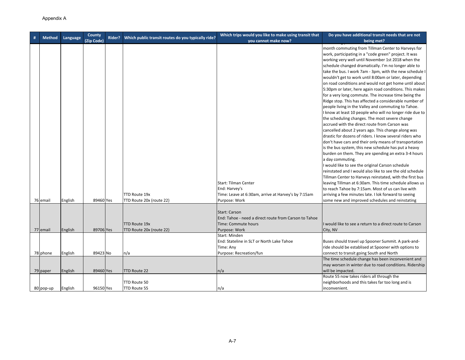| # | <b>Method</b>        | Language           | County<br>(Zip Code)  | Rider? | Which public transit routes do you typically ride? | Which trips would you like to make using transit that<br>you cannot make now?                                       | Do you have additional transit needs that are not<br>being met?                                                                                                                                                                                                                                                                                                                                                                                                                                                                                                                                                                                                                                                                                                                                                                                                                                                                                                                                                                                                                                                                                                                                                                                                                                                                                                                                                                                                               |
|---|----------------------|--------------------|-----------------------|--------|----------------------------------------------------|---------------------------------------------------------------------------------------------------------------------|-------------------------------------------------------------------------------------------------------------------------------------------------------------------------------------------------------------------------------------------------------------------------------------------------------------------------------------------------------------------------------------------------------------------------------------------------------------------------------------------------------------------------------------------------------------------------------------------------------------------------------------------------------------------------------------------------------------------------------------------------------------------------------------------------------------------------------------------------------------------------------------------------------------------------------------------------------------------------------------------------------------------------------------------------------------------------------------------------------------------------------------------------------------------------------------------------------------------------------------------------------------------------------------------------------------------------------------------------------------------------------------------------------------------------------------------------------------------------------|
|   |                      |                    |                       |        | TTD Route 19x                                      | <b>Start: Tilman Center</b><br>End: Harvey's<br>Time: Leave at 6:30am, arrive at Harvey's by 7:15am                 | month commuting from Tillman Center to Harveys for<br>work, participating in a "code green" project. It was<br>working very well until November 1st 2018 when the<br>schedule changed dramatically. I'm no longer able to<br>take the bus. I work 7am - 3pm, with the new schedule I<br>wouldn't get to work until 8:00am or later, depending<br>on road conditions and would not get home until about<br>5:30pm or later, here again road conditions. This makes<br>for a very long commute. The increase time being the<br>Ridge stop. This has affected a considerable number of<br>people living in the Valley and commuting to Tahoe.<br>I know at least 10 people who will no longer ride due to<br>the scheduling changes. The most severe change<br>accrued with the direct route from Carson was<br>cancelled about 2 years ago. This change along was<br>drastic for dozens of riders. I know several riders who<br>don't have cars and their only means of transportation<br>is the bus system, this new schedule has put a heavy<br>burden on them. They are spending an extra 3-4 hours<br>a day commuting.<br>I would like to see the original Carson schedule<br>reinstated and I would also like to see the old schedule<br>Tillman Center to Harveys reinstated, with the first bus<br>leaving Tillman at 6:30am. This time schedule allows us<br>to reach Tahoe by 7:15am. Most of us can live with<br>arriving a few minutes late. I lok forward to seeing |
|   | 76 email             | English            | 89460 Yes             |        | TTD Route 20x (route 22)<br>TTD Route 19x          | Purpose: Work<br>Start: Carson<br>End: Tahoe - need a direct route from Carson to Tahoe<br>Time: Commute hours      | some new and improved schedules and reinstating<br>would like to see a return to a direct route to Carson                                                                                                                                                                                                                                                                                                                                                                                                                                                                                                                                                                                                                                                                                                                                                                                                                                                                                                                                                                                                                                                                                                                                                                                                                                                                                                                                                                     |
|   | 77 email<br>78 phone | English<br>English | 89706 Yes<br>89423 No |        | TTD Route 20x (route 22)<br>n/a                    | Purpose: Work<br>Start: Minden<br>End: Stateline in SLT or North Lake Tahoe<br>Time: Any<br>Purpose: Recreation/fun | City, NV<br>Buses should travel up Spooner Summit. A park-and-<br>ride should be establised at Spooner with options to<br>connect to transit going South and North                                                                                                                                                                                                                                                                                                                                                                                                                                                                                                                                                                                                                                                                                                                                                                                                                                                                                                                                                                                                                                                                                                                                                                                                                                                                                                            |
|   | 79 paper             | English            | 89460 Yes             |        | TTD Route 22                                       | n/a                                                                                                                 | The time schedule change has been inconvenient and<br>may worsen in winter due to road conditions. Ridership<br>will be impacted.                                                                                                                                                                                                                                                                                                                                                                                                                                                                                                                                                                                                                                                                                                                                                                                                                                                                                                                                                                                                                                                                                                                                                                                                                                                                                                                                             |
|   | 80 pop-up            | English            | 96150 Yes             |        | TTD Route 50<br>TTD Route 55                       | n/a                                                                                                                 | Route 55 now takes riders all through the<br>neighborhoods and this takes far too long and is<br>inconvenient.                                                                                                                                                                                                                                                                                                                                                                                                                                                                                                                                                                                                                                                                                                                                                                                                                                                                                                                                                                                                                                                                                                                                                                                                                                                                                                                                                                |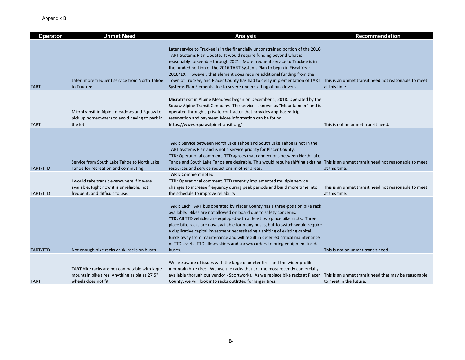| <b>Operator</b> | <b>Unmet Need</b>                                                                                                           | <b>Analysis</b>                                                                                                                                                                                                                                                                                                                                                                                                                                                                                                                                                               | Recommendation                                                                 |
|-----------------|-----------------------------------------------------------------------------------------------------------------------------|-------------------------------------------------------------------------------------------------------------------------------------------------------------------------------------------------------------------------------------------------------------------------------------------------------------------------------------------------------------------------------------------------------------------------------------------------------------------------------------------------------------------------------------------------------------------------------|--------------------------------------------------------------------------------|
| <b>TART</b>     | Later, more frequent service from North Tahoe<br>to Truckee                                                                 | Later service to Truckee is in the financially unconstrained portion of the 2016<br>TART Systems Plan Update. It would require funding beyond what is<br>reasonably forseeable through 2021. More frequent service to Truckee is in<br>the funded portion of the 2016 TART Systems Plan to begin in Fiscal Year<br>2018/19. However, that element does require additional funding from the<br>Town of Truckee, and Placer County has had to delay implementation of TART<br>Systems Plan Elements due to severe understaffing of bus drivers.                                 | This is an unmet transit need not reasonable to meet<br>at this time.          |
| <b>TART</b>     | Microtransit in Alpine meadows and Squaw to<br>pick up homeowners to avoid having to park in<br>the lot                     | Microtransit in Alpine Meadows began on December 1, 2018. Operated by the<br>Squaw Alpine Transit Company. The service is known as "Mountaineer" and is<br>operated through a private contractor that provides app-based trip<br>reservation and payment. More information can be found:<br>https://www.squawalpinetransit.org/                                                                                                                                                                                                                                               | This is not an unmet transit need.                                             |
| TART/TTD        | Service from South Lake Tahoe to North Lake<br>Tahoe for recreation and commuting                                           | <b>TART:</b> Service between North Lake Tahoe and South Lake Tahoe is not in the<br>TART Systems Plan and is not a service priority for Placer County.<br>TTD: Operational comment. TTD agrees that connections between North Lake<br>Tahoe and South Lake Tahoe are desirable. This would require shifting existing This is an unmet transit need not reasonable to meet<br>resources and service reductions in other areas.                                                                                                                                                 | at this time.                                                                  |
| TART/TTD        | I would take transit everywhere if it were<br>available. Right now it is unreliable, not<br>frequent, and difficult to use. | <b>TART: Comment noted.</b><br>TTD: Operational comment. TTD recently implemented multiple service<br>changes to increase frequency during peak periods and build more time into<br>the schedule to improve reliability.                                                                                                                                                                                                                                                                                                                                                      | This is an unmet transit need not reasonable to meet<br>at this time.          |
| TART/TTD        | Not enough bike racks or ski racks on buses                                                                                 | TART: Each TART bus operated by Placer County has a three-position bike rack<br>available. Bikes are not allowed on board due to safety concerns.<br>TTD: All TTD vehicles are equipped with at least two place bike racks. Three<br>place bike racks are now available for many buses, but to switch would require<br>a duplicative capital investment necessitating a shifting of existing capital<br>funds away from maintenance and will result in deferred critical maintenance<br>of TTD assets. TTD allows skiers and snowboarders to bring equipment inside<br>buses. | This is not an unmet transit need.                                             |
| <b>TART</b>     | TART bike racks are not compatable with large<br>mountain bike tires. Anything as big as 27.5"<br>wheels does not fit       | We are aware of issues with the large diameter tires and the wider profile<br>mountain bike tires. We use the racks that are the most recently comercially<br>available thorugh our vendor - Sportworks. As we replace bike racks at Placer<br>County, we will look into racks outfitted for larger tires.                                                                                                                                                                                                                                                                    | This is an unmet transit need that may be reasonable<br>to meet in the future. |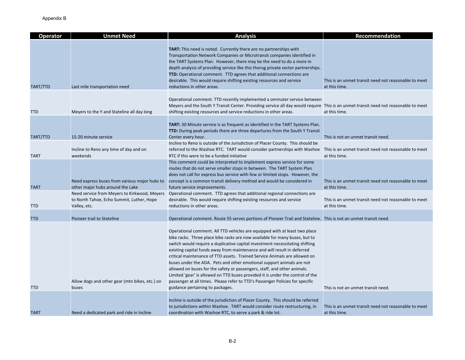| <b>Operator</b> | <b>Unmet Need</b>                                                                                         | <b>Analysis</b>                                                                                                                                                                                                                                                                                                                                                                                                                                                                                                                                                                                                                                                                                                                                                 | Recommendation                                                        |
|-----------------|-----------------------------------------------------------------------------------------------------------|-----------------------------------------------------------------------------------------------------------------------------------------------------------------------------------------------------------------------------------------------------------------------------------------------------------------------------------------------------------------------------------------------------------------------------------------------------------------------------------------------------------------------------------------------------------------------------------------------------------------------------------------------------------------------------------------------------------------------------------------------------------------|-----------------------------------------------------------------------|
| TART/TTD        | Last mile transportation need                                                                             | TART: This need is noted. Currently there are no partnerships with<br>Transportation Network Companies or Microtransit companies identified in<br>the TART Systems Plan. However, there may be the need to do a more in<br>depth analysis of providing service like this thorug private sector partnerships.<br>TTD: Operational comment. TTD agrees that additional connections are<br>desirable. This would require shifting existing resources and service<br>reductions in other areas.                                                                                                                                                                                                                                                                     | This is an unmet transit need not reasonable to meet<br>at this time. |
| <b>TTD</b>      | Meyers to the Y and Stateline all day long                                                                | Operational comment. TTD recently implemented a ommuter service between<br>Meyers and the South Y Transit Center. Providing service all day would require This is an unmet transit need not reasonable to meet<br>shifting existing resources and service reductions in other areas.                                                                                                                                                                                                                                                                                                                                                                                                                                                                            | at this time.                                                         |
| TART/TTD        | 15-20 minute service                                                                                      | <b>TART:</b> 30 Minute service is as frequent as identified in the TART Systems Plan.<br><b>TTD:</b> During peak periods there are three departures from the South Y Transit<br>Center every hour.<br>Incline to Reno is outside of the Jurisdiction of Placer County. This should be                                                                                                                                                                                                                                                                                                                                                                                                                                                                           | This is not an unmet transit need.                                    |
| <b>TART</b>     | Incline to Reno any time of day and on<br>weekends                                                        | referred to the Washoe RTC. TART would consider partnerships with Washoe<br>RTC if this were to be a funded initiative                                                                                                                                                                                                                                                                                                                                                                                                                                                                                                                                                                                                                                          | This is an unmet transit need not reasonable to meet<br>at this time. |
| <b>TART</b>     | Need express buses from various major hubs to<br>other major hubs around the Lake                         | This comment could be interpreted to implement express service for some<br>routes that do not serve smaller stops in between. The TART System Plan<br>does not call for express bus service with few or limited stops. However, the<br>concept is a common transit delivery method and would be considered in<br>future service improvements.                                                                                                                                                                                                                                                                                                                                                                                                                   | This is an unmet transit need not reasonable to meet<br>at this time. |
| <b>TTD</b>      | Need service from Meyers to Kirkwood, Meyers<br>to North Tahoe, Echo Summit, Luther, Hope<br>Valley, etc. | Operational comment. TTD agrees that additional regional connections are<br>desirable. This would require shifting existing resources and service<br>reductions in other areas.                                                                                                                                                                                                                                                                                                                                                                                                                                                                                                                                                                                 | This is an unmet transit need not reasonable to meet<br>at this time. |
| <b>TTD</b>      | Pioneer trail to Stateline                                                                                | Operational comment. Route 55 serves portions of Pioneer Trail and Stateline. This is not an unmet transit need.                                                                                                                                                                                                                                                                                                                                                                                                                                                                                                                                                                                                                                                |                                                                       |
| <b>TTD</b>      | Allow dogs and other gear (mtn bikes, etc.) on<br>buses                                                   | Operational comment. All TTD vehicles are equipped with at least two place<br>bike racks. Three place bike racks are now available for many buses, but to<br>switch would require a duplicative capital investment necessitating shifting<br>existing capital funds away from maintenance and will result in deferred<br>critical maintenance of TTD assets. Trained Service Animals are allowed on<br>buses under the ADA. Pets and other emotional support animals are not<br>allowed on buses for the safety or passengers, staff, and other animals.<br>Limited 'gear' is allowed on TTD buses provided it is under the control of the<br>passenger at all times. Please refer to TTD's Passenger Policies for specific<br>guidance pertaining to packages. | This is not an unmet transit need.                                    |
|                 |                                                                                                           |                                                                                                                                                                                                                                                                                                                                                                                                                                                                                                                                                                                                                                                                                                                                                                 |                                                                       |
| <b>TART</b>     | Need a dedicated park and ride in Incline                                                                 | Incline is outside of the jurisdiction of Placer County. This should be referred<br>to jurisdictions within Washoe. TART would consider route restructuring, in<br>coordination with Washoe RTC, to serve a park & ride lot.                                                                                                                                                                                                                                                                                                                                                                                                                                                                                                                                    | This is an unmet transit need not reasonable to meet<br>at this time. |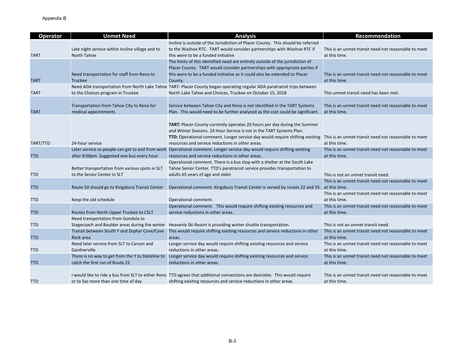| <b>Operator</b> | <b>Unmet Need</b>                                            | <b>Analysis</b>                                                                                                                                                                                   | Recommendation                                                        |
|-----------------|--------------------------------------------------------------|---------------------------------------------------------------------------------------------------------------------------------------------------------------------------------------------------|-----------------------------------------------------------------------|
|                 |                                                              | Incline is outside of the Jurisdiction of Placer County. This should be referred                                                                                                                  |                                                                       |
|                 | Late night service within Incline village and to             | to the Washoe RTC. TART would consider partnerships with Washoe RTC if                                                                                                                            | This is an unmet transit need not reasonable to meet                  |
| <b>TART</b>     | North Tahoe                                                  | this were to be a funded initiative                                                                                                                                                               | at this time.                                                         |
|                 |                                                              | The limits of this identified need are entirely outside of the jurisdiction of                                                                                                                    |                                                                       |
|                 |                                                              | Placer County. TART would consider partnerships with appropriate parties if                                                                                                                       |                                                                       |
| <b>TART</b>     | Need transportation for staff from Reno to<br><b>Truckee</b> | this were to be a funded initiative as it could also be extended to Placer<br>County.                                                                                                             | This is an unmet transit need not reasonable to meet<br>at this time. |
|                 |                                                              | Need ADA transportation from North Lake Tahoe TART- Placer County began operating regular ADA paratransit trips between                                                                           |                                                                       |
| <b>TART</b>     | to the Choices program in Truckee                            | North Lake Tahoe and Choices, Truckee on October 15, 2018                                                                                                                                         | This unmet transit need has been met.                                 |
|                 |                                                              |                                                                                                                                                                                                   |                                                                       |
|                 | Transportation from Tahoe City to Reno for                   | Service between Tahoe City and Reno is not identified in the TART Systems                                                                                                                         | This is an unmet transit need not reasonable to meet                  |
| <b>TART</b>     | medical appointments                                         | Plan. This would need to be further analyzed as the cost could be significant.                                                                                                                    | at this time.                                                         |
|                 |                                                              |                                                                                                                                                                                                   |                                                                       |
|                 |                                                              | TART: Placer County currently operates 20 hours per day during the Summer                                                                                                                         |                                                                       |
|                 |                                                              | and Winter Seasons. 24 Hour Service is not in the TART Systems Plan.                                                                                                                              |                                                                       |
|                 | 24-hour service                                              | <b>TTD:</b> Operational comment. Longer service day would require shifting existing                                                                                                               | This is an unmet transit need not reasonable to meet                  |
| TART/TTD        | Later service so people can get to and from work             | resources and service reductions in other areas.<br>Operational comment. Longer service day would require shifting existing                                                                       | at this time.<br>This is an unmet transit need not reasonable to meet |
| <b>TTD</b>      | after 8:00pm. Suggested one bus every hour                   | resources and service reductions in other areas.                                                                                                                                                  | at this time.                                                         |
|                 |                                                              | Operational comment. There is a bus stop with a shelter at the South Lake                                                                                                                         |                                                                       |
|                 | Better transportation from various spots in SLT              | Tahoe Senior Center. TTD's paratransit service provides transportation to                                                                                                                         |                                                                       |
| <b>TTD</b>      | to the Senior Center in SLT                                  | adults 65 years of age and older.                                                                                                                                                                 | This is not an unmet transit need.                                    |
|                 |                                                              |                                                                                                                                                                                                   | This is an unmet transit need not reasonable to meet                  |
| <b>TTD</b>      | Route 50 should go to Kingsbury Transit Center               | Operational comment. Kingsbury Transit Center is served by routes 22 and 55. at this time.                                                                                                        |                                                                       |
|                 |                                                              |                                                                                                                                                                                                   | This is an unmet transit need not reasonable to meet                  |
| <b>TTD</b>      | Keep the old schedule                                        | Operational comment.                                                                                                                                                                              | at this time.                                                         |
|                 |                                                              | Operational comment. This would require shifting existing resources and                                                                                                                           | This is an unmet transit need not reasonable to meet                  |
| <b>TTD</b>      | Routes from North Upper Truckee to CSLT                      | service reductions in other areas.                                                                                                                                                                | at this time.                                                         |
|                 | Need transportation from Gondola to                          |                                                                                                                                                                                                   |                                                                       |
| <b>TTD</b>      | Stagecoach and Boulder areas during the winter               | Heavenly Ski Resort is providing winter shuttle transportation.                                                                                                                                   | This is not an unmet transit need.                                    |
|                 | Transit between South Y and Zephyr Cove/Cave                 | This would require shifting existing resources and service reductions in other                                                                                                                    | This is an unmet transit need not reasonable to meet                  |
| <b>TTD</b>      | Rock area                                                    | areas.                                                                                                                                                                                            | at this time.                                                         |
|                 | Need later service from SLT to Carson and                    | Longer service day would require shifting existing resources and service                                                                                                                          | This is an unmet transit need not reasonable to meet                  |
| <b>TTD</b>      | Gardnerville                                                 | reductions in other areas.                                                                                                                                                                        | at this time.                                                         |
|                 | There is no way to get from the Y to Stateline to            | Longer service day would require shifting existing resources and service                                                                                                                          | This is an unmet transit need not reasonable to meet                  |
| <b>TTD</b>      | catch the first run of Route 22                              | reductions in other areas.                                                                                                                                                                        | at this time.                                                         |
|                 |                                                              |                                                                                                                                                                                                   |                                                                       |
| <b>TTD</b>      | or to Sac more than one time of day                          | I would like to ride a bus from SLT to either Reno TTD agrees that additional connections are desirable. This would require<br>shifting existing resources and service reductions in other areas. | This is an unmet transit need not reasonable to meet<br>at this time. |
|                 |                                                              |                                                                                                                                                                                                   |                                                                       |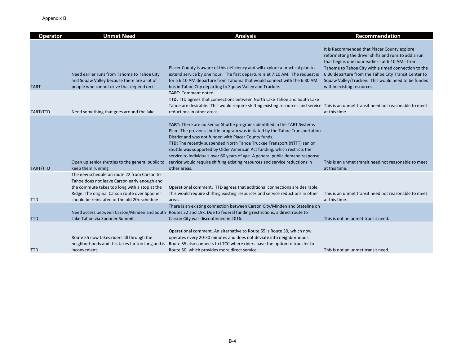| <b>Operator</b> | <b>Unmet Need</b>                                                                                                                                                                                                                             | <b>Analysis</b>                                                                                                                                                                                                                                                                                                                                                                                                                                                                                                                                           | Recommendation                                                                                                                                                                                                                                                                                                                                              |
|-----------------|-----------------------------------------------------------------------------------------------------------------------------------------------------------------------------------------------------------------------------------------------|-----------------------------------------------------------------------------------------------------------------------------------------------------------------------------------------------------------------------------------------------------------------------------------------------------------------------------------------------------------------------------------------------------------------------------------------------------------------------------------------------------------------------------------------------------------|-------------------------------------------------------------------------------------------------------------------------------------------------------------------------------------------------------------------------------------------------------------------------------------------------------------------------------------------------------------|
| <b>TART</b>     | Need earlier runs from Tahoma to Tahoe City<br>and Squaw Valley because there are a lot of<br>people who cannot drive that depend on it                                                                                                       | Placer County is aware of this deficiency and will explore a practical plan to<br>extend service by one hour. The first departure is at 7:10 AM. The request is<br>for a 6:10 AM departure from Tahoma that would connect with the 6:30 AM<br>bus in Tahoe City departing to Squaw Valley and Truckee.                                                                                                                                                                                                                                                    | It is Recommended that Placer County explore<br>reformatting the driver shifts and runs to add a run<br>that begins one hour earlier - at 6:10 AM - from<br>Tahoma to Tahoe City with a timed connection to the<br>6:30 departure from the Tahoe City Transit Center to<br>Squaw Valley/Truckee. This would need to be funded<br>within existing resources. |
| TART/TTD        | Need something that goes around the lake                                                                                                                                                                                                      | <b>TART: Comment noted</b><br>TTD: TTD agrees that connections between North Lake Tahoe and South Lake<br>Tahoe are desirable. This would require shifting existing resources and service This is an unmet transit need not reasonable to meet<br>reductions in other areas.                                                                                                                                                                                                                                                                              | at this time.                                                                                                                                                                                                                                                                                                                                               |
| TART/TTD        | Open up senior shuttles to the general public to<br>keep them running                                                                                                                                                                         | TART: There are no Senior Shuttle programs identified in the TART Systems<br>Plan. The previous shuttle program was initiated by the Tahoe Transportation<br>District and was not funded with Placer County funds.<br>TTD: The recently suspended North Tahoe Truckee Transport (NTTT) senior<br>shuttle was supported by Older American Act funding, which restricts the<br>service to individuals over 60 years of age. A general public demand response<br>service would require shifting existing resources and service reductions in<br>other areas. | This is an unmet transit need not reasonable to meet<br>at this time.                                                                                                                                                                                                                                                                                       |
| <b>TTD</b>      | The new schedule on route 22 from Carson to<br>Tahoe does not leave Carson early enough and<br>the commute takes too long with a stop at the<br>Ridge. The original Carson route over Spooner<br>should be reinstated or the old 20x schedule | Operational comment. TTD agrees that additional connections are desirable.<br>This would require shifting existing resources and service reductions in other<br>areas.                                                                                                                                                                                                                                                                                                                                                                                    | This is an unmet transit need not reasonable to meet<br>at this time.                                                                                                                                                                                                                                                                                       |
| <b>TTD</b>      | Need access between Carson/Minden and South<br>Lake Tahoe via Spooner Summit                                                                                                                                                                  | There is an existing connection between Carson City/Minden and Stateline on<br>Routes 22 and 19x. Due to federal funding restrictions, a direct route to<br>Carson City was discontinued in 2016.                                                                                                                                                                                                                                                                                                                                                         | This is not an unmet transit need.                                                                                                                                                                                                                                                                                                                          |
| <b>TTD</b>      | Route 55 now takes riders all through the<br>neighborhoods and this takes far too long and is<br>inconvenient.                                                                                                                                | Operational comment. An alternative to Route 55 is Route 50, which now<br>operates every 20-30 minutes and does not deviate into neighborhoods.<br>Route 55 also connects to LTCC where riders have the option to transfer to<br>Route 50, which provides more direct service.                                                                                                                                                                                                                                                                            | This is not an unmet transit need.                                                                                                                                                                                                                                                                                                                          |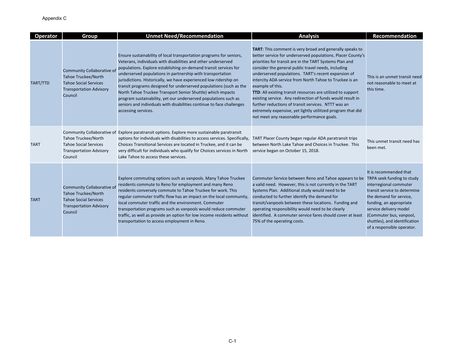| <b>Operator</b> | Group                                                                                                                                 | <b>Unmet Need/Recommendation</b>                                                                                                                                                                                                                                                                                                                                                                                                                                                                                                                                                                                                                    | <b>Analysis</b>                                                                                                                                                                                                                                                                                                                                                                                                                                                                                                                                                                                                                                                                         | <b>Recommendation</b>                                                                                                                                                                                                                                                                    |
|-----------------|---------------------------------------------------------------------------------------------------------------------------------------|-----------------------------------------------------------------------------------------------------------------------------------------------------------------------------------------------------------------------------------------------------------------------------------------------------------------------------------------------------------------------------------------------------------------------------------------------------------------------------------------------------------------------------------------------------------------------------------------------------------------------------------------------------|-----------------------------------------------------------------------------------------------------------------------------------------------------------------------------------------------------------------------------------------------------------------------------------------------------------------------------------------------------------------------------------------------------------------------------------------------------------------------------------------------------------------------------------------------------------------------------------------------------------------------------------------------------------------------------------------|------------------------------------------------------------------------------------------------------------------------------------------------------------------------------------------------------------------------------------------------------------------------------------------|
| TART/TTD        | Community Collaborative o<br><b>Tahoe Truckee/North</b><br><b>Tahoe Social Services</b><br><b>Transportation Advisory</b><br>Council  | Ensure sustainability of local transportation programs for seniors,<br>Veterans, individuals with disabilities and other underserved<br>populations. Explore establishing on-demand transit services for<br>underserved populations in partnership with transportation<br>jurisdictions. Historically, we have experienced low ridership on<br>transit programs designed for underserved populations (such as the<br>North Tahoe Truckee Transport Senior Shuttle) which impacts<br>program sustainability, yet our underserved populations such as<br>seniors and individuals with disabilities continue to face challenges<br>accessing services. | <b>TART:</b> This comment is very broad and generally speaks to<br>better service for underserved populations. Placer County's<br>priorities for transit are in the TART Systems Plan and<br>consider the general public travel needs, including<br>underserved populations. TART's recent expansion of<br>intercity ADA service from North Tahoe to Truckee is an<br>example of this.<br>TTD: All existing transit resources are utilized to support<br>existing service. Any redirection of funds would result in<br>further reductions of transit services. NTTT was an<br>extremely expensive, yet lightly utilitzed program that did<br>not meet any reasonable performance goals. | This is an unmet transit need<br>not reasonable to meet at<br>this time.                                                                                                                                                                                                                 |
| <b>TART</b>     | <b>Tahoe Truckee/North</b><br><b>Tahoe Social Services</b><br><b>Transportation Advisory</b><br>Council                               | Community Collaborative of Explore paratransit options. Explore more sustainable paratransit<br>options for individuals with disabilities to access services. Specifically,<br>Choices Transitional Services are located in Truckee, and it can be<br>very difficult for individuals who qualify for Choices services in North<br>Lake Tahoe to access these services.                                                                                                                                                                                                                                                                              | TART Placer County began regular ADA paratransit trips<br>between North Lake Tahoe and Choices in Truckee. This<br>service began on October 15, 2018.                                                                                                                                                                                                                                                                                                                                                                                                                                                                                                                                   | This unmet transit need has<br>been met.                                                                                                                                                                                                                                                 |
| <b>TART</b>     | Community Collaborative of<br><b>Tahoe Truckee/North</b><br><b>Tahoe Social Services</b><br><b>Transportation Advisory</b><br>Council | Explore commuting options such as vanpools. Many Tahoe Truckee<br>residents commute to Reno for employment and many Reno<br>residents conversely commute to Tahoe Truckee for work. This<br>regular commuter traffic flow has an impact on the local community,<br>local commuter traffic and the environment. Commuter<br>transportation programs such as vanpools would reduce commuter<br>traffic, as well as provide an option for low income residents without<br>transportation to access employment in Reno.                                                                                                                                 | Commuter Service between Reno and Tahoe appears to be<br>a valid need. However, this is not currently in the TART<br>Systems Plan. Additional study would need to be<br>conducted to further identify the demand for<br>transit/vanpools between these locations. Funding and<br>operating responsibility would need to be clearly<br>identified. A commuter service fares should cover at least<br>75% of the operating costs.                                                                                                                                                                                                                                                         | It is recommended that<br>TRPA seek funding to study<br>interregional commuter<br>transit service to determine<br>the demand for service,<br>funding, an appropriate<br>service delivery model<br>(Commuter bus, vanpool,<br>shuttles), and identification<br>of a responsible operator. |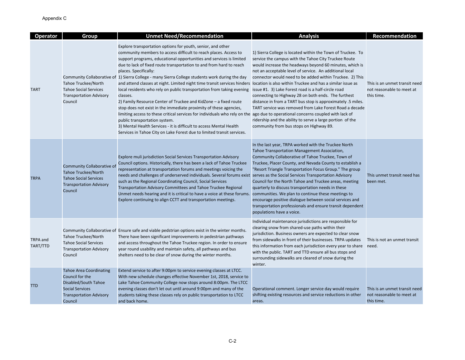| <b>Operator</b>      | Group                                                                                                                                            | <b>Unmet Need/Recommendation</b>                                                                                                                                                                                                                                                                                                                                                                                                                                                                                                                                                                                                                                                                                                                                                                                                                                                                                                                                                                                                                                                                    | <b>Analysis</b>                                                                                                                                                                                                                                                                                                                                                                                                                                                                                                                                                                                                                                       | Recommendation                                                           |
|----------------------|--------------------------------------------------------------------------------------------------------------------------------------------------|-----------------------------------------------------------------------------------------------------------------------------------------------------------------------------------------------------------------------------------------------------------------------------------------------------------------------------------------------------------------------------------------------------------------------------------------------------------------------------------------------------------------------------------------------------------------------------------------------------------------------------------------------------------------------------------------------------------------------------------------------------------------------------------------------------------------------------------------------------------------------------------------------------------------------------------------------------------------------------------------------------------------------------------------------------------------------------------------------------|-------------------------------------------------------------------------------------------------------------------------------------------------------------------------------------------------------------------------------------------------------------------------------------------------------------------------------------------------------------------------------------------------------------------------------------------------------------------------------------------------------------------------------------------------------------------------------------------------------------------------------------------------------|--------------------------------------------------------------------------|
| <b>TART</b>          | Tahoe Truckee/North<br><b>Tahoe Social Services</b><br><b>Transportation Advisory</b><br>Council                                                 | Explore transportation options for youth, senior, and other<br>community members to access difficult to reach places. Access to<br>support programs, educational opportunities and services is limited<br>due to lack of fixed route transportation to and from hard to reach<br>places. Specifically:<br>Community Collaborative of 1) Sierra College - many Sierra College students work during the day<br>and attend classes at night. Limited night time transit services hinders location is also within Truckee and has a similar issue as<br>local residents who rely on public transportation from taking evening<br>classes.<br>2) Family Resource Center of Truckee and KidZone - a fixed route<br>stop does not exist in the immediate proximity of these agencies,<br>limiting access to these critical services for individuals who rely on the ago due to operational concerns coupled with lack of<br>public transportation system.<br>3) Mental Health Services - it is difficult to access Mental Health<br>Services in Tahoe City on Lake Forest due to limited transit services. | 1) Sierra College is located within the Town of Truckee. To<br>service the campus with the Tahoe City Truckee Route<br>would increase the headways beyond 60 minutes, which is<br>not an acceptable level of service. An additional local<br>connector would need to be added within Truckee. 2) This<br>issue #1. 3) Lake Forest road is a half-circle road<br>connecting to Highway 28 on both ends. The furthest<br>distance in from a TART bus stop is approximately .5 miles.<br>TART service was removed from Lake Forest Road a decade<br>ridership and the ability to serve a large portion of the<br>community from bus stops on Highway 89. | This is an unmet transit need<br>not reasonable to meet at<br>this time. |
| <b>TRPA</b>          | Community Collaborative of<br><b>Tahoe Truckee/North</b><br><b>Tahoe Social Services</b><br><b>Transportation Advisory</b><br>Council            | Explore muli jurisdiction Social Services Transportation Advisory<br>Council options. Historically, there has been a lack of Tahoe Truckee<br>representation at transportation forums and meetings voicing the<br>needs and challenges of underserved individuals. Several forums exist serves as the Social Services Transportation Advisory<br>such as the Regional Coordinating Council, Social Services<br>Transportation Advisory Committees and Tahoe Truckee Regional<br>Unmet needs hearing and it is critical to have a voice at these forums. communities. We plan to continue these meetings to<br>Explore continuing to align CCTT and transportation meetings.                                                                                                                                                                                                                                                                                                                                                                                                                         | In the last year, TRPA worked with the Truckee North<br>Tahoe Transportation Management Association,<br>Community Collaborative of Tahoe Truckee, Town of<br>Truckee, Placer County, and Nevada County to establish a<br>"Resort Triangle Transportation Focus Group." The group<br>Council for the North Tahoe and Truckee areas, meeting<br>quarterly to discuss transportation needs in these<br>encourage positive dialogue between social services and<br>transportation professionals and ensure transit dependent<br>populations have a voice.                                                                                                 | This unmet transit need has<br>been met.                                 |
| TRPA and<br>TART/TTD | Tahoe Truckee/North<br><b>Tahoe Social Services</b><br><b>Transportation Advisory</b><br>Council                                                 | Community Collaborative of Ensure safe and viable pedstrian options exist in the winter months.<br>There have been significant improvements in pedestrian pathways<br>and access throughout the Tahoe Truckee region. In order to ensure<br>year round usability and maintain safety, all pathways and bus<br>shelters need to be clear of snow during the winter months.                                                                                                                                                                                                                                                                                                                                                                                                                                                                                                                                                                                                                                                                                                                           | Individual maintenance jurisdictions are responsible for<br>clearing snow from shared-use paths within their<br>jurisdiction. Business owners are expected to clear snow<br>from sidewalks in front of their businesses. TRPA updates<br>this information from each jurisdiction every year to share<br>with the public. TART and TTD ensure all bus stops and<br>surrounding sidewalks are cleared of snow during the<br>winter.                                                                                                                                                                                                                     | This is not an unmet transit<br>need.                                    |
| <b>TTD</b>           | <b>Tahoe Area Coordinating</b><br>Council for the<br>Disabled/South Tahoe<br><b>Social Services</b><br><b>Transportation Advisory</b><br>Council | Extend service to after 9:00pm to service evening classes at LTCC.<br>With new schedule changes effective November 1st, 2018, service to<br>Lake Tahoe Community College now stops around 8:00pm. The LTCC<br>evening classes don't let out until around 9:00pm and many of the<br>students taking these classes rely on public transportation to LTCC<br>and back home.                                                                                                                                                                                                                                                                                                                                                                                                                                                                                                                                                                                                                                                                                                                            | Operational comment. Longer service day would require<br>shifting existing resources and service reductions in other<br>areas.                                                                                                                                                                                                                                                                                                                                                                                                                                                                                                                        | This is an unmet transit need<br>not reasonable to meet at<br>this time. |